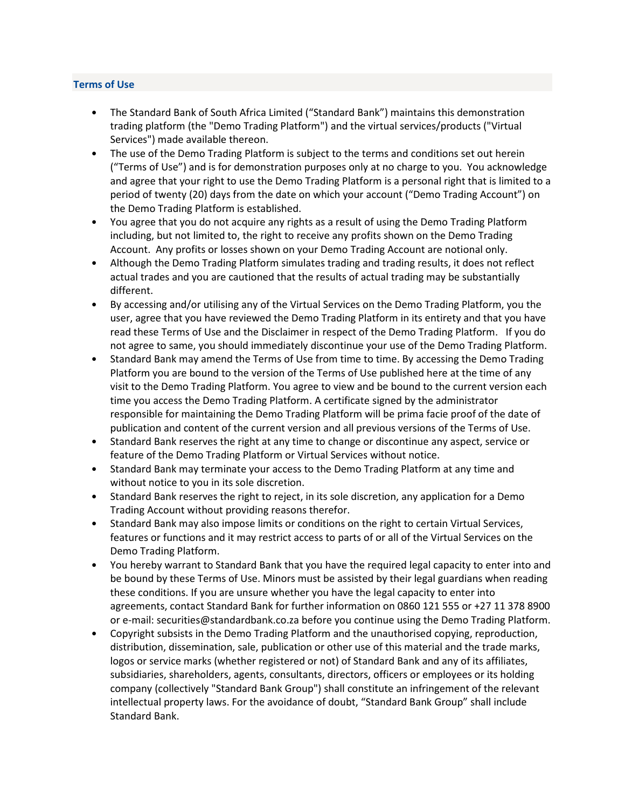# Terms of Use

- The Standard Bank of South Africa Limited ("Standard Bank") maintains this demonstration trading platform (the "Demo Trading Platform") and the virtual services/products ("Virtual Services") made available thereon.
- The use of the Demo Trading Platform is subject to the terms and conditions set out herein ("Terms of Use") and is for demonstration purposes only at no charge to you. You acknowledge and agree that your right to use the Demo Trading Platform is a personal right that is limited to a period of twenty (20) days from the date on which your account ("Demo Trading Account") on the Demo Trading Platform is established.
- You agree that you do not acquire any rights as a result of using the Demo Trading Platform including, but not limited to, the right to receive any profits shown on the Demo Trading Account. Any profits or losses shown on your Demo Trading Account are notional only.
- Although the Demo Trading Platform simulates trading and trading results, it does not reflect actual trades and you are cautioned that the results of actual trading may be substantially different.
- By accessing and/or utilising any of the Virtual Services on the Demo Trading Platform, you the user, agree that you have reviewed the Demo Trading Platform in its entirety and that you have read these Terms of Use and the Disclaimer in respect of the Demo Trading Platform. If you do not agree to same, you should immediately discontinue your use of the Demo Trading Platform.
- Standard Bank may amend the Terms of Use from time to time. By accessing the Demo Trading Platform you are bound to the version of the Terms of Use published here at the time of any visit to the Demo Trading Platform. You agree to view and be bound to the current version each time you access the Demo Trading Platform. A certificate signed by the administrator responsible for maintaining the Demo Trading Platform will be prima facie proof of the date of publication and content of the current version and all previous versions of the Terms of Use.
- Standard Bank reserves the right at any time to change or discontinue any aspect, service or feature of the Demo Trading Platform or Virtual Services without notice.
- Standard Bank may terminate your access to the Demo Trading Platform at any time and without notice to you in its sole discretion.
- Standard Bank reserves the right to reject, in its sole discretion, any application for a Demo Trading Account without providing reasons therefor.
- Standard Bank may also impose limits or conditions on the right to certain Virtual Services, features or functions and it may restrict access to parts of or all of the Virtual Services on the Demo Trading Platform.
- You hereby warrant to Standard Bank that you have the required legal capacity to enter into and be bound by these Terms of Use. Minors must be assisted by their legal guardians when reading these conditions. If you are unsure whether you have the legal capacity to enter into agreements, contact Standard Bank for further information on 0860 121 555 or +27 11 378 8900 or e-mail: securities@standardbank.co.za before you continue using the Demo Trading Platform.
- Copyright subsists in the Demo Trading Platform and the unauthorised copying, reproduction, distribution, dissemination, sale, publication or other use of this material and the trade marks, logos or service marks (whether registered or not) of Standard Bank and any of its affiliates, subsidiaries, shareholders, agents, consultants, directors, officers or employees or its holding company (collectively "Standard Bank Group") shall constitute an infringement of the relevant intellectual property laws. For the avoidance of doubt, "Standard Bank Group" shall include Standard Bank.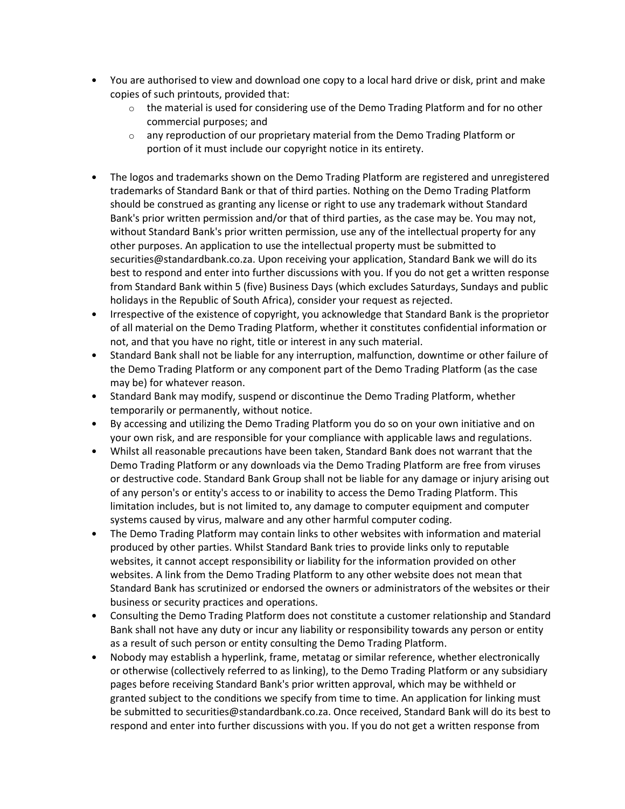- You are authorised to view and download one copy to a local hard drive or disk, print and make copies of such printouts, provided that:
	- $\circ$  the material is used for considering use of the Demo Trading Platform and for no other commercial purposes; and
	- $\circ$  any reproduction of our proprietary material from the Demo Trading Platform or portion of it must include our copyright notice in its entirety.
- The logos and trademarks shown on the Demo Trading Platform are registered and unregistered trademarks of Standard Bank or that of third parties. Nothing on the Demo Trading Platform should be construed as granting any license or right to use any trademark without Standard Bank's prior written permission and/or that of third parties, as the case may be. You may not, without Standard Bank's prior written permission, use any of the intellectual property for any other purposes. An application to use the intellectual property must be submitted to securities@standardbank.co.za. Upon receiving your application, Standard Bank we will do its best to respond and enter into further discussions with you. If you do not get a written response from Standard Bank within 5 (five) Business Days (which excludes Saturdays, Sundays and public holidays in the Republic of South Africa), consider your request as rejected.
- Irrespective of the existence of copyright, you acknowledge that Standard Bank is the proprietor of all material on the Demo Trading Platform, whether it constitutes confidential information or not, and that you have no right, title or interest in any such material.
- Standard Bank shall not be liable for any interruption, malfunction, downtime or other failure of the Demo Trading Platform or any component part of the Demo Trading Platform (as the case may be) for whatever reason.
- Standard Bank may modify, suspend or discontinue the Demo Trading Platform, whether temporarily or permanently, without notice.
- By accessing and utilizing the Demo Trading Platform you do so on your own initiative and on your own risk, and are responsible for your compliance with applicable laws and regulations.
- Whilst all reasonable precautions have been taken, Standard Bank does not warrant that the Demo Trading Platform or any downloads via the Demo Trading Platform are free from viruses or destructive code. Standard Bank Group shall not be liable for any damage or injury arising out of any person's or entity's access to or inability to access the Demo Trading Platform. This limitation includes, but is not limited to, any damage to computer equipment and computer systems caused by virus, malware and any other harmful computer coding.
- The Demo Trading Platform may contain links to other websites with information and material produced by other parties. Whilst Standard Bank tries to provide links only to reputable websites, it cannot accept responsibility or liability for the information provided on other websites. A link from the Demo Trading Platform to any other website does not mean that Standard Bank has scrutinized or endorsed the owners or administrators of the websites or their business or security practices and operations.
- Consulting the Demo Trading Platform does not constitute a customer relationship and Standard Bank shall not have any duty or incur any liability or responsibility towards any person or entity as a result of such person or entity consulting the Demo Trading Platform.
- Nobody may establish a hyperlink, frame, metatag or similar reference, whether electronically or otherwise (collectively referred to as linking), to the Demo Trading Platform or any subsidiary pages before receiving Standard Bank's prior written approval, which may be withheld or granted subject to the conditions we specify from time to time. An application for linking must be submitted to securities@standardbank.co.za. Once received, Standard Bank will do its best to respond and enter into further discussions with you. If you do not get a written response from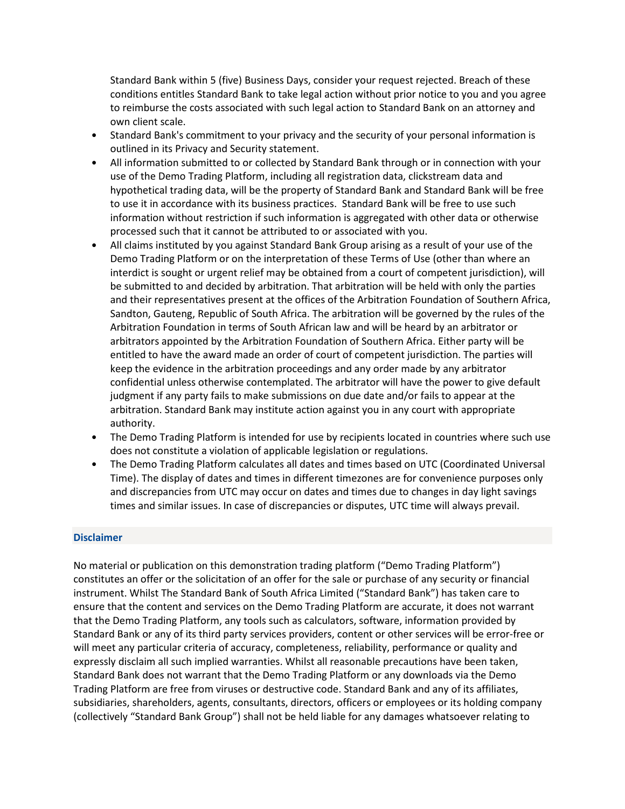Standard Bank within 5 (five) Business Days, consider your request rejected. Breach of these conditions entitles Standard Bank to take legal action without prior notice to you and you agree to reimburse the costs associated with such legal action to Standard Bank on an attorney and own client scale.

- Standard Bank's commitment to your privacy and the security of your personal information is outlined in its Privacy and Security statement.
- All information submitted to or collected by Standard Bank through or in connection with your use of the Demo Trading Platform, including all registration data, clickstream data and hypothetical trading data, will be the property of Standard Bank and Standard Bank will be free to use it in accordance with its business practices. Standard Bank will be free to use such information without restriction if such information is aggregated with other data or otherwise processed such that it cannot be attributed to or associated with you.
- All claims instituted by you against Standard Bank Group arising as a result of your use of the Demo Trading Platform or on the interpretation of these Terms of Use (other than where an interdict is sought or urgent relief may be obtained from a court of competent jurisdiction), will be submitted to and decided by arbitration. That arbitration will be held with only the parties and their representatives present at the offices of the Arbitration Foundation of Southern Africa, Sandton, Gauteng, Republic of South Africa. The arbitration will be governed by the rules of the Arbitration Foundation in terms of South African law and will be heard by an arbitrator or arbitrators appointed by the Arbitration Foundation of Southern Africa. Either party will be entitled to have the award made an order of court of competent jurisdiction. The parties will keep the evidence in the arbitration proceedings and any order made by any arbitrator confidential unless otherwise contemplated. The arbitrator will have the power to give default judgment if any party fails to make submissions on due date and/or fails to appear at the arbitration. Standard Bank may institute action against you in any court with appropriate authority.
- The Demo Trading Platform is intended for use by recipients located in countries where such use does not constitute a violation of applicable legislation or regulations.
- The Demo Trading Platform calculates all dates and times based on UTC (Coordinated Universal Time). The display of dates and times in different timezones are for convenience purposes only and discrepancies from UTC may occur on dates and times due to changes in day light savings times and similar issues. In case of discrepancies or disputes, UTC time will always prevail.

#### Disclaimer

No material or publication on this demonstration trading platform ("Demo Trading Platform") constitutes an offer or the solicitation of an offer for the sale or purchase of any security or financial instrument. Whilst The Standard Bank of South Africa Limited ("Standard Bank") has taken care to ensure that the content and services on the Demo Trading Platform are accurate, it does not warrant that the Demo Trading Platform, any tools such as calculators, software, information provided by Standard Bank or any of its third party services providers, content or other services will be error-free or will meet any particular criteria of accuracy, completeness, reliability, performance or quality and expressly disclaim all such implied warranties. Whilst all reasonable precautions have been taken, Standard Bank does not warrant that the Demo Trading Platform or any downloads via the Demo Trading Platform are free from viruses or destructive code. Standard Bank and any of its affiliates, subsidiaries, shareholders, agents, consultants, directors, officers or employees or its holding company (collectively "Standard Bank Group") shall not be held liable for any damages whatsoever relating to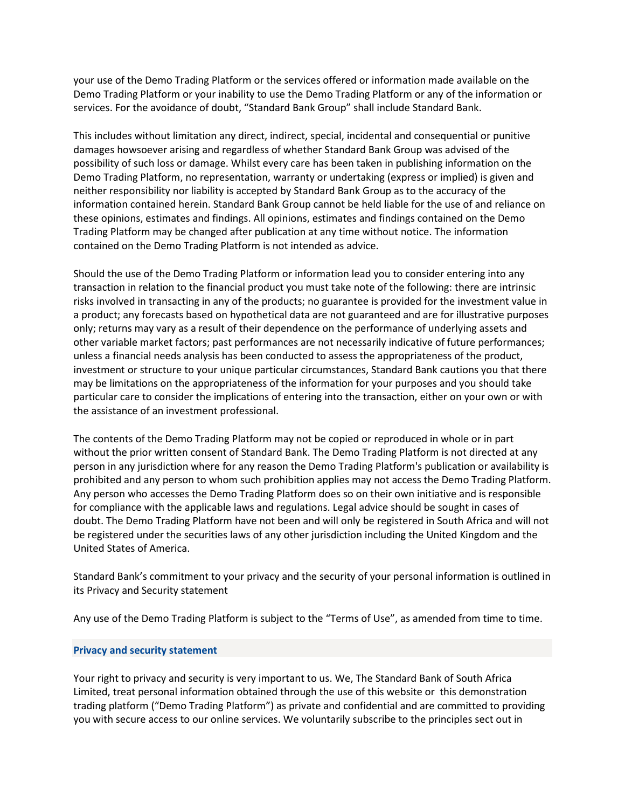your use of the Demo Trading Platform or the services offered or information made available on the Demo Trading Platform or your inability to use the Demo Trading Platform or any of the information or services. For the avoidance of doubt, "Standard Bank Group" shall include Standard Bank.

This includes without limitation any direct, indirect, special, incidental and consequential or punitive damages howsoever arising and regardless of whether Standard Bank Group was advised of the possibility of such loss or damage. Whilst every care has been taken in publishing information on the Demo Trading Platform, no representation, warranty or undertaking (express or implied) is given and neither responsibility nor liability is accepted by Standard Bank Group as to the accuracy of the information contained herein. Standard Bank Group cannot be held liable for the use of and reliance on these opinions, estimates and findings. All opinions, estimates and findings contained on the Demo Trading Platform may be changed after publication at any time without notice. The information contained on the Demo Trading Platform is not intended as advice.

Should the use of the Demo Trading Platform or information lead you to consider entering into any transaction in relation to the financial product you must take note of the following: there are intrinsic risks involved in transacting in any of the products; no guarantee is provided for the investment value in a product; any forecasts based on hypothetical data are not guaranteed and are for illustrative purposes only; returns may vary as a result of their dependence on the performance of underlying assets and other variable market factors; past performances are not necessarily indicative of future performances; unless a financial needs analysis has been conducted to assess the appropriateness of the product, investment or structure to your unique particular circumstances, Standard Bank cautions you that there may be limitations on the appropriateness of the information for your purposes and you should take particular care to consider the implications of entering into the transaction, either on your own or with the assistance of an investment professional.

The contents of the Demo Trading Platform may not be copied or reproduced in whole or in part without the prior written consent of Standard Bank. The Demo Trading Platform is not directed at any person in any jurisdiction where for any reason the Demo Trading Platform's publication or availability is prohibited and any person to whom such prohibition applies may not access the Demo Trading Platform. Any person who accesses the Demo Trading Platform does so on their own initiative and is responsible for compliance with the applicable laws and regulations. Legal advice should be sought in cases of doubt. The Demo Trading Platform have not been and will only be registered in South Africa and will not be registered under the securities laws of any other jurisdiction including the United Kingdom and the United States of America.

Standard Bank's commitment to your privacy and the security of your personal information is outlined in its Privacy and Security statement

Any use of the Demo Trading Platform is subject to the "Terms of Use", as amended from time to time.

# Privacy and security statement

Your right to privacy and security is very important to us. We, The Standard Bank of South Africa Limited, treat personal information obtained through the use of this website or this demonstration trading platform ("Demo Trading Platform") as private and confidential and are committed to providing you with secure access to our online services. We voluntarily subscribe to the principles sect out in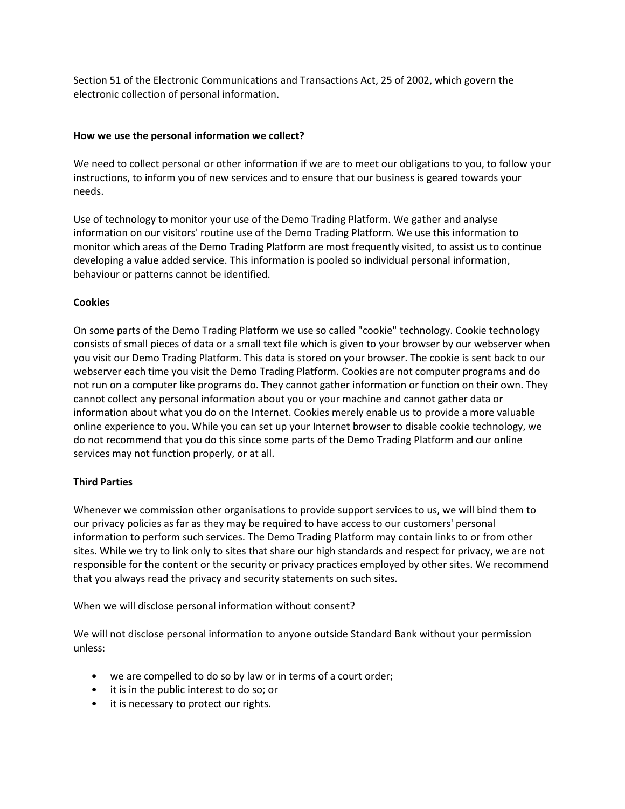Section 51 of the Electronic Communications and Transactions Act, 25 of 2002, which govern the electronic collection of personal information.

#### How we use the personal information we collect?

We need to collect personal or other information if we are to meet our obligations to you, to follow your instructions, to inform you of new services and to ensure that our business is geared towards your needs.

Use of technology to monitor your use of the Demo Trading Platform. We gather and analyse information on our visitors' routine use of the Demo Trading Platform. We use this information to monitor which areas of the Demo Trading Platform are most frequently visited, to assist us to continue developing a value added service. This information is pooled so individual personal information, behaviour or patterns cannot be identified.

# Cookies

On some parts of the Demo Trading Platform we use so called "cookie" technology. Cookie technology consists of small pieces of data or a small text file which is given to your browser by our webserver when you visit our Demo Trading Platform. This data is stored on your browser. The cookie is sent back to our webserver each time you visit the Demo Trading Platform. Cookies are not computer programs and do not run on a computer like programs do. They cannot gather information or function on their own. They cannot collect any personal information about you or your machine and cannot gather data or information about what you do on the Internet. Cookies merely enable us to provide a more valuable online experience to you. While you can set up your Internet browser to disable cookie technology, we do not recommend that you do this since some parts of the Demo Trading Platform and our online services may not function properly, or at all.

# Third Parties

Whenever we commission other organisations to provide support services to us, we will bind them to our privacy policies as far as they may be required to have access to our customers' personal information to perform such services. The Demo Trading Platform may contain links to or from other sites. While we try to link only to sites that share our high standards and respect for privacy, we are not responsible for the content or the security or privacy practices employed by other sites. We recommend that you always read the privacy and security statements on such sites.

When we will disclose personal information without consent?

We will not disclose personal information to anyone outside Standard Bank without your permission unless:

- we are compelled to do so by law or in terms of a court order;
- it is in the public interest to do so; or
- it is necessary to protect our rights.